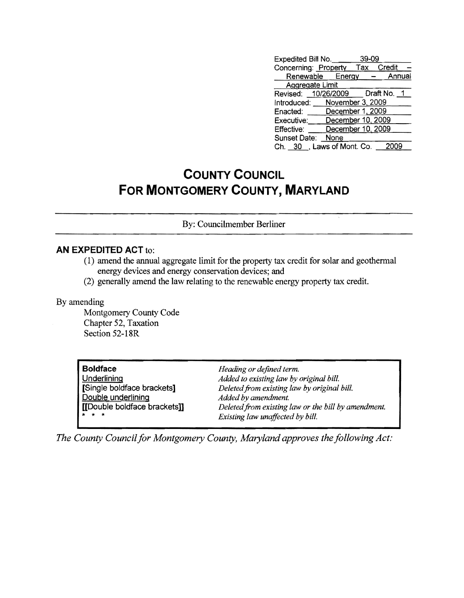| Expedited Bill No. 39-09          |                           |  |  |
|-----------------------------------|---------------------------|--|--|
| Concerning: Property Tax Credit   |                           |  |  |
|                                   | Renewable Energy - Annual |  |  |
| Aggregate Limit                   |                           |  |  |
| Revised: 10/26/2009   Draft No. 1 |                           |  |  |
| Introduced: November 3, 2009      |                           |  |  |
| Enacted: December 1, 2009         |                           |  |  |
| Executive:                        | December 10, 2009         |  |  |
| Effective:                        | December 10, 2009         |  |  |
| Sunset Date: None                 |                           |  |  |
| Ch. 30 , Laws of Mont. Co.        |                           |  |  |

## **COUNTY COUNCIL FOR MONTGOMERY COUNTY, MARYLAND**

By: Councilmember Berliner

## **AN EXPEDITED ACT** to:

- (1) amend the annual aggregate limit for the property tax credit for solar and geothermal energy devices and energy conservation devices; and
- (2) generally amend the law relating to the renewable energy property tax credit.

## By amending

Montgomery County Code Chapter 52, Taxation Section 52-18R

| <b>Boldface</b>             | Heading or defined term.                            |
|-----------------------------|-----------------------------------------------------|
| Underlining                 | Added to existing law by original bill.             |
| Single boldface brackets]   | Deleted from existing law by original bill.         |
| Double underlining          | Added by amendment.                                 |
| [Double boldface brackets]] | Deleted from existing law or the bill by amendment. |
| <b>x</b> * *                | Existing law unaffected by bill.                    |

*The County Council for Montgomery County, Maryland approves the following Act:*